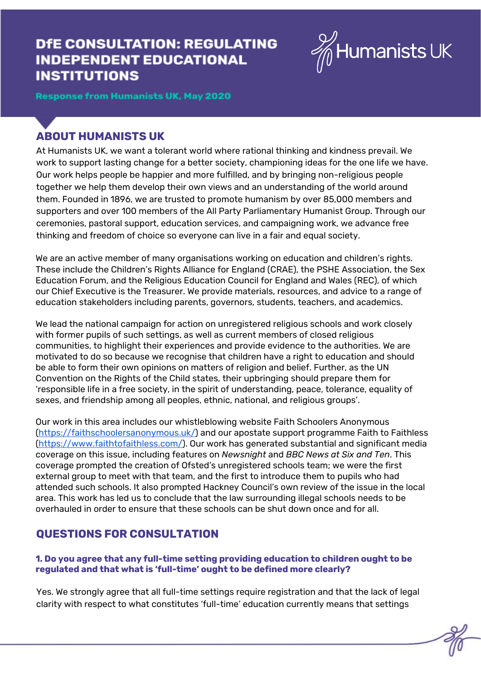# **DfE CONSULTATION: REGULATING INDEPENDENT EDUCATIONAL INSTITUTIONS**



**Response from Humanists UK, May 2020** 

# **ABOUT HUMANISTS UK**

At Humanists UK, we want a tolerant world where rational thinking and kindness prevail. We work to support lasting change for a better society, championing ideas for the one life we have. Our work helps people be happier and more fulfilled, and by bringing non-religious people together we help them develop their own views and an understanding of the world around them. Founded in 1896, we are trusted to promote humanism by over 85,000 members and supporters and over 100 members of the All Party Parliamentary Humanist Group. Through our ceremonies, pastoral support, education services, and campaigning work, we advance free thinking and freedom of choice so everyone can live in a fair and equal society.

We are an active member of many organisations working on education and children's rights. These include the Children's Rights Alliance for England (CRAE), the PSHE Association, the Sex Education Forum, and the Religious Education Council for England and Wales (REC), of which our Chief Executive is the Treasurer. We provide materials, resources, and advice to a range of education stakeholders including parents, governors, students, teachers, and academics.

We lead the national campaign for action on unregistered religious schools and work closely with former pupils of such settings, as well as current members of closed religious communities, to highlight their experiences and provide evidence to the authorities. We are motivated to do so because we recognise that children have a right to education and should be able to form their own opinions on matters of religion and belief. Further, as the UN Convention on the Rights of the Child states, their upbringing should prepare them for 'responsible life in a free society, in the spirit of understanding, peace, tolerance, equality of sexes, and friendship among all peoples, ethnic, national, and religious groups'.

Our work in this area includes our whistleblowing website Faith Schoolers Anonymous (<https://faithschoolersanonymous.uk/>) and our apostate support programme Faith to Faithless (<https://www.faithtofaithless.com/>). Our work has generated substantial and significant media coverage on this issue, including features on *Newsnight* and *BBC News at Six and Ten*. This coverage prompted the creation of Ofsted's unregistered schools team; we were the first external group to meet with that team, and the first to introduce them to pupils who had attended such schools. It also prompted Hackney Council's own review of the issue in the local area. This work has led us to conclude that the law surrounding illegal schools needs to be overhauled in order to ensure that these schools can be shut down once and for all.

# **QUESTIONS FOR CONSULTATION**

# **1. Do you agree that any full-time setting providing education to children ought to be regulated and that what is 'full-time' ought to be defined more clearly?**

Yes. We strongly agree that all full-time settings require registration and that the lack of legal clarity with respect to what constitutes 'full-time' education currently means that settings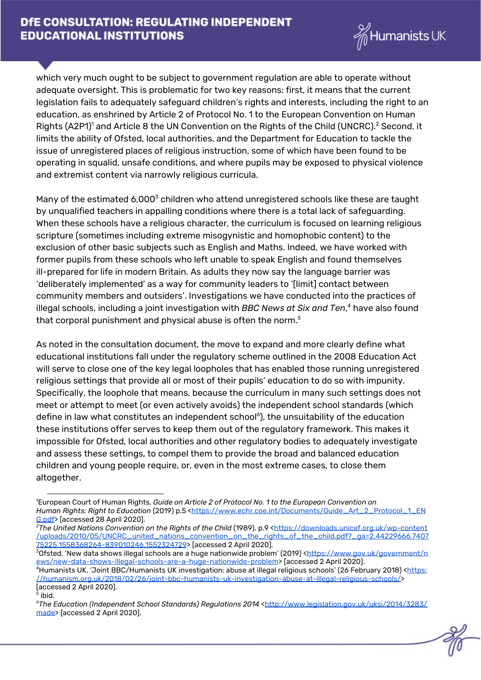

which very much ought to be subject to government regulation are able to operate without adequate oversight. This is problematic for two key reasons: first, it means that the current legislation fails to adequately safeguard children's rights and interests, including the right to an education, as enshrined by Article 2 of Protocol No. 1 to the European Convention on Human Rights (A2P1)<sup>1</sup> and Article 8 the UN Convention on the Rights of the Child (UNCRC).<sup>2</sup> Second, it limits the ability of Ofsted, local authorities, and the Department for Education to tackle the issue of unregistered places of religious instruction, some of which have been found to be operating in squalid, unsafe conditions, and where pupils may be exposed to physical violence and extremist content via narrowly religious curricula.

Many of the estimated 6,000 $3$  children who attend unregistered schools like these are taught by unqualified teachers in appalling conditions where there is a total lack of safeguarding. When these schools have a religious character, the curriculum is focused on learning religious scripture (sometimes including extreme misogynistic and homophobic content) to the exclusion of other basic subjects such as English and Maths. Indeed, we have worked with former pupils from these schools who left unable to speak English and found themselves ill-prepared for life in modern Britain. As adults they now say the language barrier was 'deliberately implemented' as a way for community leaders to '[limit] contact between community members and outsiders'. Investigations we have conducted into the practices of illegal schools, including a joint investigation with *BBC News at Six and Ten*,<sup>4</sup> have also found that corporal punishment and physical abuse is often the norm. $^{\rm 5}$ 

As noted in the consultation document, the move to expand and more clearly define what educational institutions fall under the regulatory scheme outlined in the 2008 Education Act will serve to close one of the key legal loopholes that has enabled those running unregistered religious settings that provide all or most of their pupils' education to do so with impunity. Specifically, the loophole that means, because the curriculum in many such settings does not meet or attempt to meet (or even actively avoids) the independent school standards (which define in law what constitutes an independent school<sup>6</sup>), the unsuitability of the education these institutions offer serves to keep them out of the regulatory framework. This makes it impossible for Ofsted, local authorities and other regulatory bodies to adequately investigate and assess these settings, to compel them to provide the broad and balanced education children and young people require, or, even in the most extreme cases, to close them altogether.

<sup>1</sup>European Court of Human Rights, *Guide on Article 2 of Protocol No. 1 to the European Convention on Human Rights: Right to Education* (2019) p.5 [<https://www.echr.coe.int/Documents/Guide\\_Art\\_2\\_Protocol\\_1\\_EN](https://www.echr.coe.int/Documents/Guide_Art_2_Protocol_1_ENG.pdf) [G.pdf>](https://www.echr.coe.int/Documents/Guide_Art_2_Protocol_1_ENG.pdf) [accessed 28 April 2020].

*<sup>2</sup>The United Nations Convention on the Rights of the Child* (1989), p.9 [<https://downloads.unicef.org.uk/wp-content](https://downloads.unicef.org.uk/wp-content/uploads/2010/05/UNCRC_united_nations_convention_on_the_rights_of_the_child.pdf?_ga=2.44229666.740775225.1558368264-839010246.1552324729) [/uploads/2010/05/UNCRC\\_united\\_nations\\_convention\\_on\\_the\\_rights\\_of\\_the\\_child.pdf?\\_ga=2.44229666.7407](https://downloads.unicef.org.uk/wp-content/uploads/2010/05/UNCRC_united_nations_convention_on_the_rights_of_the_child.pdf?_ga=2.44229666.740775225.1558368264-839010246.1552324729) [75225.1558368264-839010246.1552324729](https://downloads.unicef.org.uk/wp-content/uploads/2010/05/UNCRC_united_nations_convention_on_the_rights_of_the_child.pdf?_ga=2.44229666.740775225.1558368264-839010246.1552324729)> [accessed 2 April 2020].

 $30$ fsted, 'New data shows illegal schools are a huge nationwide problem' (2019) <[https://www.gov.uk/government/n](https://www.gov.uk/government/news/new-data-shows-illegal-schools-are-a-huge-nationwide-problem) [ews/new-data-shows-illegal-schools-are-a-huge-nationwide-problem](https://www.gov.uk/government/news/new-data-shows-illegal-schools-are-a-huge-nationwide-problem)> [accessed 2 April 2020].

<sup>&</sup>lt;sup>4</sup>Humanists UK, 'Joint BBC/Humanists UK investigation: abuse at illegal religious schools' (26 February 2018) [<https:](https://humanism.org.uk/2018/02/26/joint-bbc-humanists-uk-investigation-abuse-at-illegal-religious-schools/) [//humanism.org.uk/2018/02/26/joint-bbc-humanists-uk-investigation-abuse-at-illegal-religious-schools/>](https://humanism.org.uk/2018/02/26/joint-bbc-humanists-uk-investigation-abuse-at-illegal-religious-schools/) [accessed 2 April 2020].

<sup>&</sup>lt;sup>5</sup> ibid.

*<sup>6</sup>The Education (Independent School Standards) Regulations 2014* [<http://www.legislation.gov.uk/uksi/2014/3283/](http://www.legislation.gov.uk/uksi/2014/3283/made) [made](http://www.legislation.gov.uk/uksi/2014/3283/made)> [accessed 2 April 2020].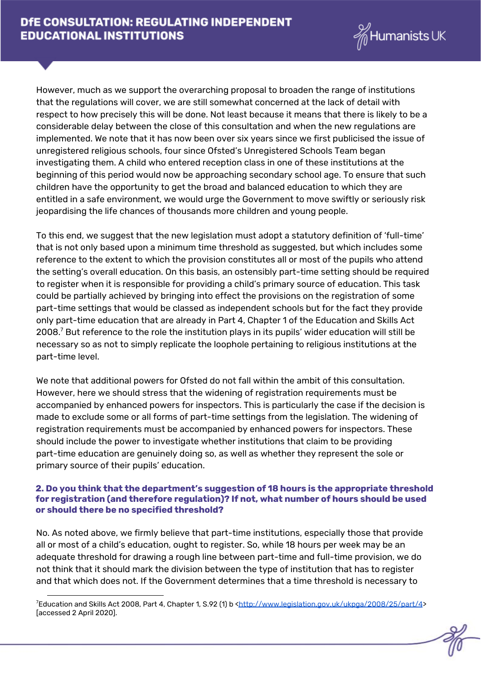

However, much as we support the overarching proposal to broaden the range of institutions that the regulations will cover, we are still somewhat concerned at the lack of detail with respect to how precisely this will be done. Not least because it means that there is likely to be a considerable delay between the close of this consultation and when the new regulations are implemented. We note that it has now been over six years since we first publicised the issue of unregistered religious schools, four since Ofsted's Unregistered Schools Team began investigating them. A child who entered reception class in one of these institutions at the beginning of this period would now be approaching secondary school age. To ensure that such children have the opportunity to get the broad and balanced education to which they are entitled in a safe environment, we would urge the Government to move swiftly or seriously risk jeopardising the life chances of thousands more children and young people.

To this end, we suggest that the new legislation must adopt a statutory definition of 'full-time' that is not only based upon a minimum time threshold as suggested, but which includes some reference to the extent to which the provision constitutes all or most of the pupils who attend the setting's overall education. On this basis, an ostensibly part-time setting should be required to register when it is responsible for providing a child's primary source of education. This task could be partially achieved by bringing into effect the provisions on the registration of some part-time settings that would be classed as independent schools but for the fact they provide only part-time education that are already in Part 4, Chapter 1 of the Education and Skills Act 2008. $^7$  But reference to the role the institution plays in its pupils' wider education will still be necessary so as not to simply replicate the loophole pertaining to religious institutions at the part-time level.

We note that additional powers for Ofsted do not fall within the ambit of this consultation. However, here we should stress that the widening of registration requirements must be accompanied by enhanced powers for inspectors. This is particularly the case if the decision is made to exclude some or all forms of part-time settings from the legislation. The widening of registration requirements must be accompanied by enhanced powers for inspectors. These should include the power to investigate whether institutions that claim to be providing part-time education are genuinely doing so, as well as whether they represent the sole or primary source of their pupils' education.

#### **2. Do you think that the department's suggestion of 18 hours is the appropriate threshold for registration (and therefore regulation)? If not, what number of hours should be used or should there be no specified threshold?**

No. As noted above, we firmly believe that part-time institutions, especially those that provide all or most of a child's education, ought to register. So, while 18 hours per week may be an adequate threshold for drawing a rough line between part-time and full-time provision, we do not think that it should mark the division between the type of institution that has to register and that which does not. If the Government determines that a time threshold is necessary to

<sup>&</sup>lt;sup>7</sup>Education and Skills Act 2008, Part 4, Chapter 1, S.92 (1) b <<http://www.legislation.gov.uk/ukpga/2008/25/part/4>> [accessed 2 April 2020].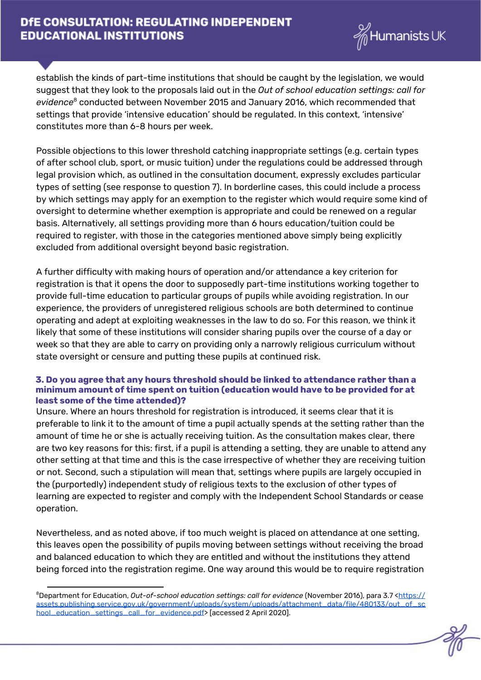

establish the kinds of part-time institutions that should be caught by the legislation, we would suggest that they look to the proposals laid out in the *Out of school education settings: call for* evidence<sup>8</sup> conducted between November 2015 and January 2016, which recommended that settings that provide 'intensive education' should be regulated. In this context, 'intensive' constitutes more than 6-8 hours per week.

Possible objections to this lower threshold catching inappropriate settings (e.g. certain types of after school club, sport, or music tuition) under the regulations could be addressed through legal provision which, as outlined in the consultation document, expressly excludes particular types of setting (see response to question 7). In borderline cases, this could include a process by which settings may apply for an exemption to the register which would require some kind of oversight to determine whether exemption is appropriate and could be renewed on a regular basis. Alternatively, all settings providing more than 6 hours education/tuition could be required to register, with those in the categories mentioned above simply being explicitly excluded from additional oversight beyond basic registration.

A further difficulty with making hours of operation and/or attendance a key criterion for registration is that it opens the door to supposedly part-time institutions working together to provide full-time education to particular groups of pupils while avoiding registration. In our experience, the providers of unregistered religious schools are both determined to continue operating and adept at exploiting weaknesses in the law to do so. For this reason, we think it likely that some of these institutions will consider sharing pupils over the course of a day or week so that they are able to carry on providing only a narrowly religious curriculum without state oversight or censure and putting these pupils at continued risk.

#### **3. Do you agree that any hours threshold should be linked to attendance rather than a minimum amount of time spent on tuition (education would have to be provided for at least some of the time attended)?**

Unsure. Where an hours threshold for registration is introduced, it seems clear that it is preferable to link it to the amount of time a pupil actually spends at the setting rather than the amount of time he or she is actually receiving tuition. As the consultation makes clear, there are two key reasons for this: first, if a pupil is attending a setting, they are unable to attend any other setting at that time and this is the case irrespective of whether they are receiving tuition or not. Second, such a stipulation will mean that, settings where pupils are largely occupied in the (purportedly) independent study of religious texts to the exclusion of other types of learning are expected to register and comply with the Independent School Standards or cease operation.

Nevertheless, and as noted above, if too much weight is placed on attendance at one setting, this leaves open the possibility of pupils moving between settings without receiving the broad and balanced education to which they are entitled and without the institutions they attend being forced into the registration regime. One way around this would be to require registration

<sup>8</sup>Department for Education, *Out-of-school education settings: call for evidence* (November 2016), para 3.7 <[https://](https://assets.publishing.service.gov.uk/government/uploads/system/uploads/attachment_data/file/480133/out_of_school_education_settings_call_for_evidence.pdf) [assets.publishing.service.gov.uk/government/uploads/system/uploads/attachment\\_data/file/480133/out\\_of\\_sc](https://assets.publishing.service.gov.uk/government/uploads/system/uploads/attachment_data/file/480133/out_of_school_education_settings_call_for_evidence.pdf) [hool\\_education\\_settings\\_call\\_for\\_evidence.pdf](https://assets.publishing.service.gov.uk/government/uploads/system/uploads/attachment_data/file/480133/out_of_school_education_settings_call_for_evidence.pdf)> [accessed 2 April 2020].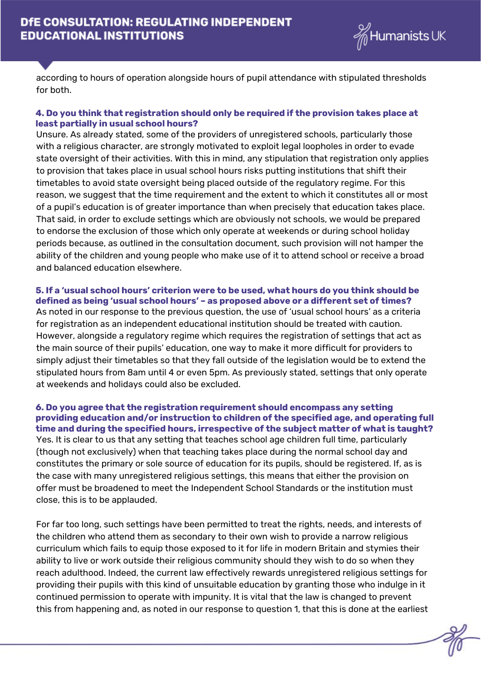

according to hours of operation alongside hours of pupil attendance with stipulated thresholds for both.

#### **4. Do you think that registration should only be required if the provision takes place at least partially in usual school hours?**

Unsure. As already stated, some of the providers of unregistered schools, particularly those with a religious character, are strongly motivated to exploit legal loopholes in order to evade state oversight of their activities. With this in mind, any stipulation that registration only applies to provision that takes place in usual school hours risks putting institutions that shift their timetables to avoid state oversight being placed outside of the regulatory regime. For this reason, we suggest that the time requirement and the extent to which it constitutes all or most of a pupil's education is of greater importance than when precisely that education takes place. That said, in order to exclude settings which are obviously not schools, we would be prepared to endorse the exclusion of those which only operate at weekends or during school holiday periods because, as outlined in the consultation document, such provision will not hamper the ability of the children and young people who make use of it to attend school or receive a broad and balanced education elsewhere.

# **5. If a 'usual school hours' criterion were to be used, what hours do you think should be defined as being 'usual school hours' – as proposed above or a different set of times?**

As noted in our response to the previous question, the use of 'usual school hours' as a criteria for registration as an independent educational institution should be treated with caution. However, alongside a regulatory regime which requires the registration of settings that act as the main source of their pupils' education, one way to make it more difficult for providers to simply adjust their timetables so that they fall outside of the legislation would be to extend the stipulated hours from 8am until 4 or even 5pm. As previously stated, settings that only operate at weekends and holidays could also be excluded.

#### **6. Do you agree that the registration requirement should encompass any setting providing education and/or instruction to children of the specified age, and operating full time and during the specified hours, irrespective of the subject matter of what is taught?**

Yes. It is clear to us that any setting that teaches school age children full time, particularly (though not exclusively) when that teaching takes place during the normal school day and constitutes the primary or sole source of education for its pupils, should be registered. If, as is the case with many unregistered religious settings, this means that either the provision on offer must be broadened to meet the Independent School Standards or the institution must close, this is to be applauded.

For far too long, such settings have been permitted to treat the rights, needs, and interests of the children who attend them as secondary to their own wish to provide a narrow religious curriculum which fails to equip those exposed to it for life in modern Britain and stymies their ability to live or work outside their religious community should they wish to do so when they reach adulthood. Indeed, the current law effectively rewards unregistered religious settings for providing their pupils with this kind of unsuitable education by granting those who indulge in it continued permission to operate with impunity. It is vital that the law is changed to prevent this from happening and, as noted in our response to question 1, that this is done at the earliest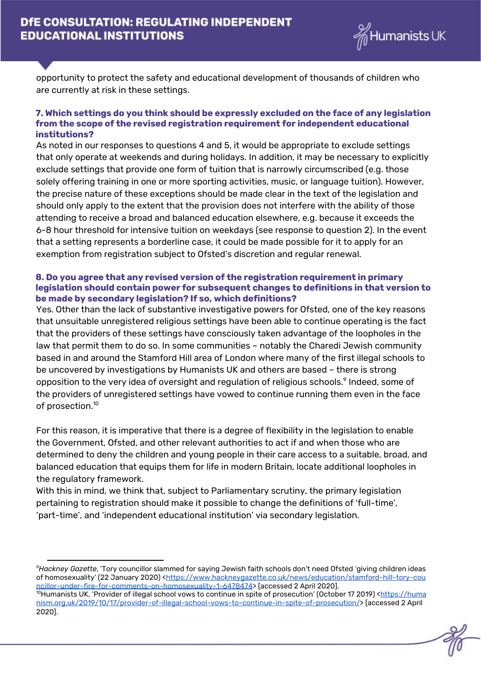

opportunity to protect the safety and educational development of thousands of children who are currently at risk in these settings.

#### **7. Which settings do you think should be expressly excluded on the face of any legislation from the scope of the revised registration requirement for independent educational institutions?**

As noted in our responses to questions 4 and 5, it would be appropriate to exclude settings that only operate at weekends and during holidays. In addition, it may be necessary to explicitly exclude settings that provide one form of tuition that is narrowly circumscribed (e.g. those solely offering training in one or more sporting activities, music, or language tuition). However, the precise nature of these exceptions should be made clear in the text of the legislation and should only apply to the extent that the provision does not interfere with the ability of those attending to receive a broad and balanced education elsewhere, e.g. because it exceeds the 6-8 hour threshold for intensive tuition on weekdays (see response to question 2). In the event that a setting represents a borderline case, it could be made possible for it to apply for an exemption from registration subject to Ofsted's discretion and regular renewal.

#### **8. Do you agree that any revised version of the registration requirement in primary legislation should contain power for subsequent changes to definitions in that version to be made by secondary legislation? If so, which definitions?**

Yes. Other than the lack of substantive investigative powers for Ofsted, one of the key reasons that unsuitable unregistered religious settings have been able to continue operating is the fact that the providers of these settings have consciously taken advantage of the loopholes in the law that permit them to do so. In some communities – notably the Charedi Jewish community based in and around the Stamford Hill area of London where many of the first illegal schools to be uncovered by investigations by Humanists UK and others are based – there is strong opposition to the very idea of oversight and regulation of religious schools. $^{\circ}$  Indeed, some of the providers of unregistered settings have vowed to continue running them even in the face of prosection. 10

For this reason, it is imperative that there is a degree of flexibility in the legislation to enable the Government, Ofsted, and other relevant authorities to act if and when those who are determined to deny the children and young people in their care access to a suitable, broad, and balanced education that equips them for life in modern Britain, locate additional loopholes in the regulatory framework.

With this in mind, we think that, subject to Parliamentary scrutiny, the primary legislation pertaining to registration should make it possible to change the definitions of 'full-time', 'part-time', and 'independent educational institution' via secondary legislation.

*<sup>9</sup>Hackney Gazette*, 'Tory councillor slammed for saying Jewish faith schools don't need Ofsted 'giving children ideas of homosexuality' (22 January 2020) <[https://www.hackneygazette.co.uk/news/education/stamford-hill-tory-cou](https://www.hackneygazette.co.uk/news/education/stamford-hill-tory-councillor-under-fire-for-comments-on-homosexuality-1-6478474) [ncillor-under-fire-for-comments-on-homosexuality-1-6478474](https://www.hackneygazette.co.uk/news/education/stamford-hill-tory-councillor-under-fire-for-comments-on-homosexuality-1-6478474)> [accessed 2 April 2020].

<sup>&</sup>lt;sup>10</sup>Humanists UK, 'Provider of illegal school vows to continue in spite of prosecution' (October 17 2019) [<https://huma](https://humanism.org.uk/2019/10/17/provider-of-illegal-school-vows-to-continue-in-spite-of-prosecution/) [nism.org.uk/2019/10/17/provider-of-illegal-school-vows-to-continue-in-spite-of-prosecution/](https://humanism.org.uk/2019/10/17/provider-of-illegal-school-vows-to-continue-in-spite-of-prosecution/)> [accessed 2 April 2020].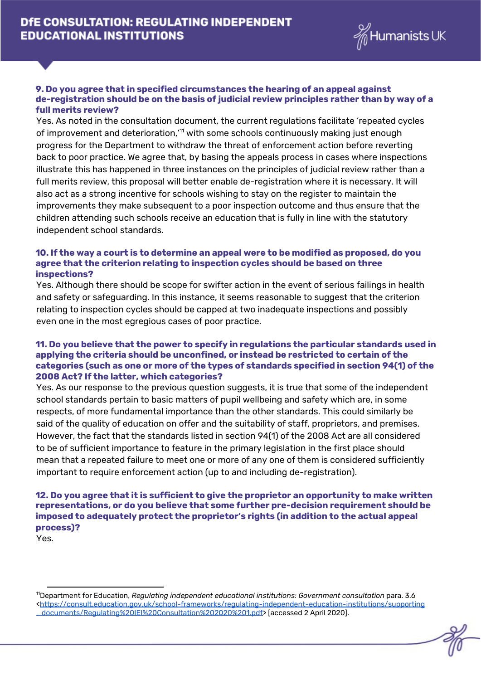

#### **9. Do you agree that in specified circumstances the hearing of an appeal against de-registration should be on the basis of judicial review principles rather than by way of a full merits review?**

Yes. As noted in the consultation document, the current regulations facilitate 'repeated cycles of improvement and deterioration,'<sup>11</sup> with some schools continuously making just enough progress for the Department to withdraw the threat of enforcement action before reverting back to poor practice. We agree that, by basing the appeals process in cases where inspections illustrate this has happened in three instances on the principles of judicial review rather than a full merits review, this proposal will better enable de-registration where it is necessary. It will also act as a strong incentive for schools wishing to stay on the register to maintain the improvements they make subsequent to a poor inspection outcome and thus ensure that the children attending such schools receive an education that is fully in line with the statutory independent school standards.

#### **10. If the way a court is to determine an appeal were to be modified as proposed, do you agree that the criterion relating to inspection cycles should be based on three inspections?**

Yes. Although there should be scope for swifter action in the event of serious failings in health and safety or safeguarding. In this instance, it seems reasonable to suggest that the criterion relating to inspection cycles should be capped at two inadequate inspections and possibly even one in the most egregious cases of poor practice.

### **11. Do you believe that the power to specify in regulations the particular standards used in applying the criteria should be unconfined, or instead be restricted to certain of the categories (such as one or more of the types of standards specified in section 94(1) of the 2008 Act? If the latter, which categories?**

Yes. As our response to the previous question suggests, it is true that some of the independent school standards pertain to basic matters of pupil wellbeing and safety which are, in some respects, of more fundamental importance than the other standards. This could similarly be said of the quality of education on offer and the suitability of staff, proprietors, and premises. However, the fact that the standards listed in section 94(1) of the 2008 Act are all considered to be of sufficient importance to feature in the primary legislation in the first place should mean that a repeated failure to meet one or more of any one of them is considered sufficiently important to require enforcement action (up to and including de-registration).

# **12. Do you agree that it is sufficient to give the proprietor an opportunity to make written representations, or do you believe that some further pre-decision requirement should be imposed to adequately protect the proprietor's rights (in addition to the actual appeal process)?**

Yes.

<sup>11</sup>Department for Education, *Regulating independent educational institutions: Government consultation* para. 3.6 <[https://consult.education.gov.uk/school-frameworks/regulating-independent-education-institutions/supporting](https://consult.education.gov.uk/school-frameworks/regulating-independent-education-institutions/supporting_documents/Regulating%20IEI%20Consultation%202020%201.pdf) [\\_documents/Regulating%20IEI%20Consultation%202020%201.pdf>](https://consult.education.gov.uk/school-frameworks/regulating-independent-education-institutions/supporting_documents/Regulating%20IEI%20Consultation%202020%201.pdf) [accessed 2 April 2020].